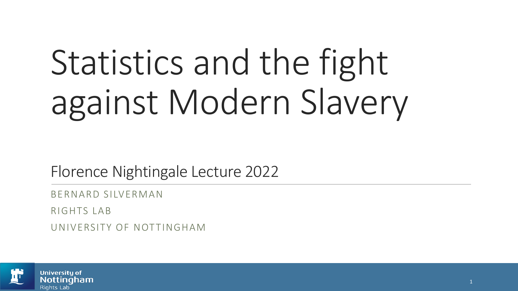# Statistics and the fight against Modern Slavery

Florence Nightingale Lecture 2022

BERNARD SILVERMAN

RIGHTS LAB

UNIVERSITY OF NOTTINGHAM

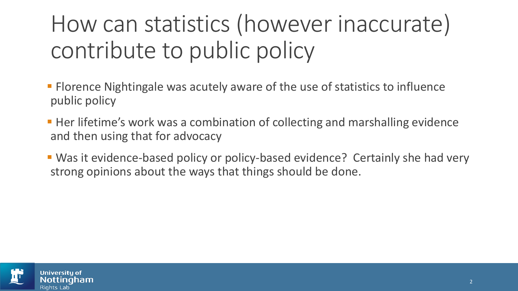## How can statistics (however inaccurate) contribute to public policy

- **Florence Nightingale was acutely aware of the use of statistics to influence** public policy
- Her lifetime's work was a combination of collecting and marshalling evidence and then using that for advocacy
- Was it evidence-based policy or policy-based evidence? Certainly she had very strong opinions about the ways that things should be done.

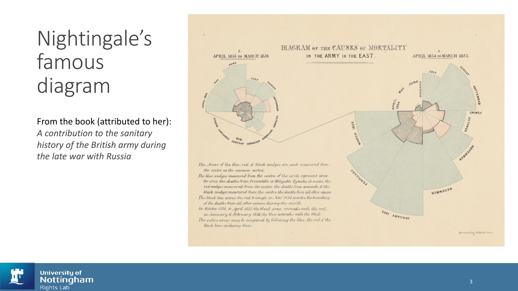#### Nightingale's famous diagram

From the book (attributed to her): *A contribution to the sanitary history of the British army during the late war with Russia*



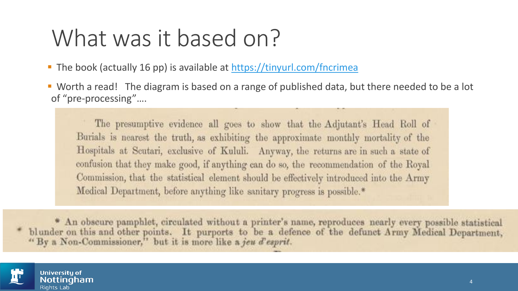#### What was it based on?

- The book (actually 16 pp) is available at <https://tinyurl.com/fncrimea>
- Worth a read! The diagram is based on a range of published data, but there needed to be a lot of "pre-processing"….

The presumptive evidence all goes to show that the Adjutant's Head Roll of Burials is nearest the truth, as exhibiting the approximate monthly mortality of the Hospitals at Scutari, exclusive of Kululi. Anyway, the returns are in such a state of confusion that they make good, if anything can do so, the recommendation of the Royal Commission, that the statistical element should be effectively introduced into the Army Medical Department, before anything like sanitary progress is possible.\*

\* An obscure pamphlet, circulated without a printer's name, reproduces nearly every possible statistical blunder on this and other points. It purports to be a defence of the defunct Army Medical Department, "By a Non-Commissioner," but it is more like a jeu d'esprit.

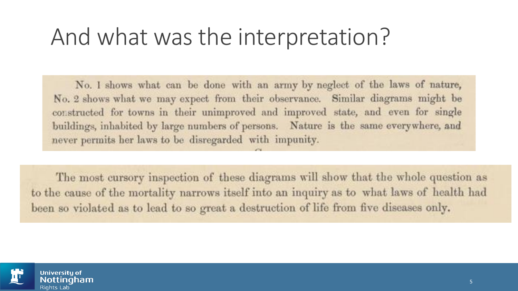#### And what was the interpretation?

No. I shows what can be done with an army by neglect of the laws of nature, No. 2 shows what we may expect from their observance. Similar diagrams might be constructed for towns in their unimproved and improved state, and even for single buildings, inhabited by large numbers of persons. Nature is the same everywhere, and never permits her laws to be disregarded with impunity.

The most cursory inspection of these diagrams will show that the whole question as to the cause of the mortality narrows itself into an inquiry as to what laws of health had been so violated as to lead to so great a destruction of life from five diseases only.

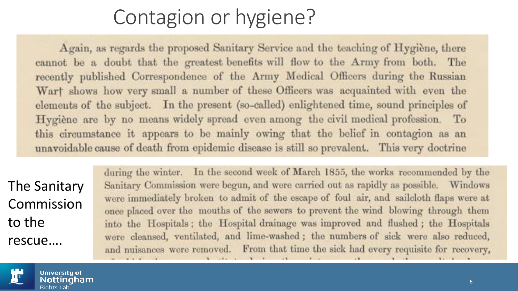#### Contagion or hygiene?

Again, as regards the proposed Sanitary Service and the teaching of Hygiène, there cannot be a doubt that the greatest benefits will flow to the Army from both. The recently published Correspondence of the Army Medical Officers during the Russian Wart shows how very small a number of these Officers was acquainted with even the elements of the subject. In the present (so-called) enlightened time, sound principles of Hygiène are by no means widely spread even among the civil medical profession. To this circumstance it appears to be mainly owing that the belief in contagion as an unavoidable cause of death from epidemic disease is still so prevalent. This very doctrine

The Sanitary Commission to the rescue….

during the winter. In the second week of March 1855, the works recommended by the Sanitary Commission were begun, and were carried out as rapidly as possible. Windows were immediately broken to admit of the escape of foul air, and sailcloth flaps were at once placed over the mouths of the sewers to prevent the wind blowing through them into the Hospitals; the Hospital drainage was improved and flushed; the Hospitals were cleansed, ventilated, and lime-washed; the numbers of sick were also reduced, and nuisances were removed. From that time the sick had every requisite for recovery,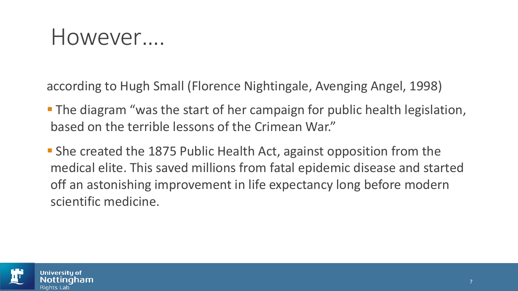#### However….

according to Hugh Small (Florence Nightingale, Avenging Angel, 1998)

- **The diagram "was the start of her campaign for public health legislation,** based on the terrible lessons of the Crimean War."
- She created the 1875 Public Health Act, against opposition from the medical elite. This saved millions from fatal epidemic disease and started off an astonishing improvement in life expectancy long before modern scientific medicine.

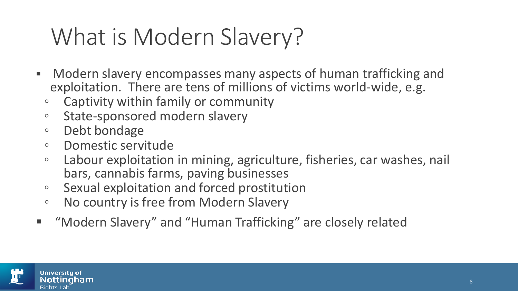#### What is Modern Slavery?

- **■** Modern slavery encompasses many aspects of human trafficking and exploitation. There are tens of millions of victims world-wide, e.g.
	- Captivity within family or community
	- State-sponsored modern slavery
	- Debt bondage
	- Domestic servitude
	- Labour exploitation in mining, agriculture, fisheries, car washes, nail bars, cannabis farms, paving businesses
	- Sexual exploitation and forced prostitution
	- No country is free from Modern Slavery
- "Modern Slavery" and "Human Trafficking" are closely related

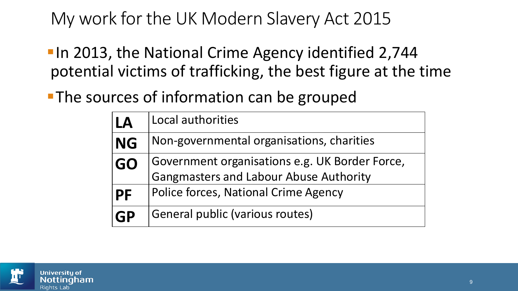#### My work for the UK Modern Slavery Act 2015

**In 2013, the National Crime Agency identified 2,744** potential victims of trafficking, the best figure at the time

**The sources of information can be grouped** 

| LA        | Local authorities                                                                               |
|-----------|-------------------------------------------------------------------------------------------------|
| 'NG       | Non-governmental organisations, charities                                                       |
| <b>GO</b> | Government organisations e.g. UK Border Force,<br><b>Gangmasters and Labour Abuse Authority</b> |
| PF        | <b>Police forces, National Crime Agency</b>                                                     |
| <b>GP</b> | General public (various routes)                                                                 |

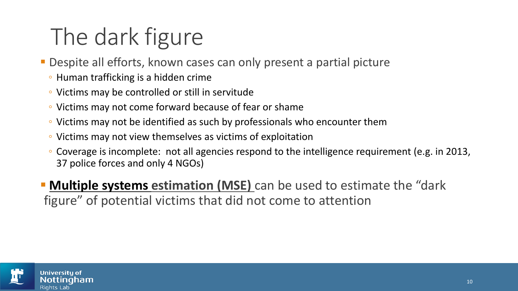# The dark figure

- **Despite all efforts, known cases can only present a partial picture** 
	- Human trafficking is a hidden crime
	- Victims may be controlled or still in servitude
	- Victims may not come forward because of fear or shame
	- Victims may not be identified as such by professionals who encounter them
	- Victims may not view themselves as victims of exploitation
	- Coverage is incomplete: not all agencies respond to the intelligence requirement (e.g. in 2013, 37 police forces and only 4 NGOs)

**• Multiple systems estimation (MSE)** can be used to estimate the "dark figure" of potential victims that did not come to attention

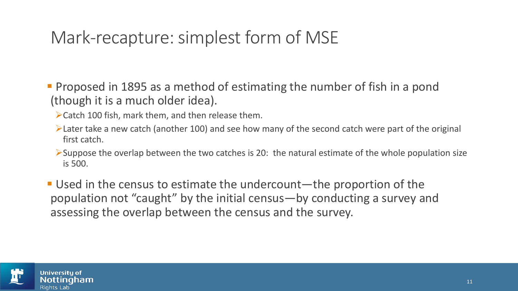#### Mark-recapture: simplest form of MSE

- Proposed in 1895 as a method of estimating the number of fish in a pond (though it is a much older idea).
	- ➢Catch 100 fish, mark them, and then release them.
	- ➢Later take a new catch (another 100) and see how many of the second catch were part of the original first catch.
	- $\triangleright$ Suppose the overlap between the two catches is 20: the natural estimate of the whole population size is 500.
- Used in the census to estimate the undercount—the proportion of the population not "caught" by the initial census—by conducting a survey and assessing the overlap between the census and the survey.

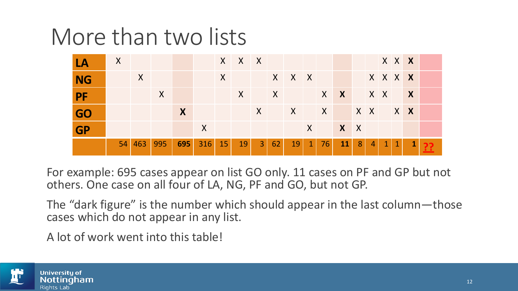#### More than two lists

| LA             | $\mathsf{X}$ |        |         |     |                    |              | XXX          |            |    |            |                 |    |                                                               |                |              | XXX          |           |              |  |
|----------------|--------------|--------|---------|-----|--------------------|--------------|--------------|------------|----|------------|-----------------|----|---------------------------------------------------------------|----------------|--------------|--------------|-----------|--------------|--|
| N <sub>G</sub> |              | X      |         |     |                    | $\mathsf{X}$ |              |            |    | X X X      |                 |    |                                                               |                | XXX <b>X</b> |              |           |              |  |
| $P$ F          |              |        | $\sf X$ |     |                    |              | $\mathsf{X}$ |            | X  |            |                 |    | $\mathsf{X} \times \mathsf{X}$ $\mathsf{X} \times \mathsf{X}$ |                |              |              |           |              |  |
| GO             |              |        |         | X   |                    |              |              |            |    | XXXXXXXXXX |                 |    |                                                               |                |              |              |           |              |  |
| GP             |              |        |         |     | X                  |              |              |            |    |            |                 |    | X X X                                                         |                |              |              |           |              |  |
|                |              | 54 463 | 995     | 695 | $316 \mid 15 \mid$ |              | 19           | <b>A37</b> | 62 | 19         | $\vert 1 \vert$ | 76 | 11                                                            | 8 <sup>1</sup> | $\sqrt{4}$   | $\mathbf{1}$ | $\vert$ 1 | $\mathbf{1}$ |  |

For example: 695 cases appear on list GO only. 11 cases on PF and GP but not others. One case on all four of LA, NG, PF and GO, but not GP.

The "dark figure" is the number which should appear in the last column—those cases which do not appear in any list.

A lot of work went into this table!

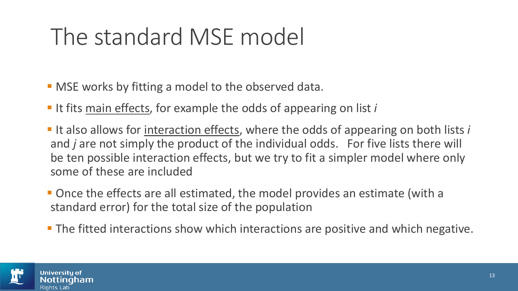## The standard MSE model

- **MSE works by fitting a model to the observed data.**
- It fits main effects, for example the odds of appearing on list *i*
- It also allows for <u>interaction effects</u>, where the odds of appearing on both lists *i* and *j* are not simply the product of the individual odds. For five lists there will be ten possible interaction effects, but we try to fit a simpler model where only some of these are included
- Once the effects are all estimated, the model provides an estimate (with a standard error) for the total size of the population
- **The fitted interactions show which interactions are positive and which negative.**

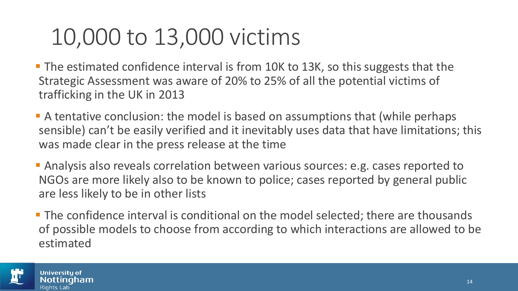#### 10,000 to 13,000 victims

- The estimated confidence interval is from 10K to 13K, so this suggests that the Strategic Assessment was aware of 20% to 25% of all the potential victims of trafficking in the UK in 2013
- **A tentative conclusion: the model is based on assumptions that (while perhaps** sensible) can't be easily verified and it inevitably uses data that have limitations; this was made clear in the press release at the time
- **EXALG** Analysis also reveals correlation between various sources: e.g. cases reported to NGOs are more likely also to be known to police; cases reported by general public are less likely to be in other lists
- **The confidence interval is conditional on the model selected; there are thousands** of possible models to choose from according to which interactions are allowed to be estimated

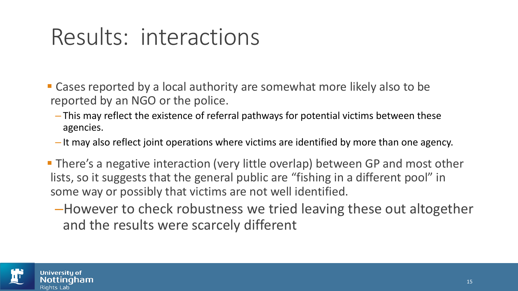#### Results: interactions

- Cases reported by a local authority are somewhat more likely also to be reported by an NGO or the police.
	- This may reflect the existence of referral pathways for potential victims between these agencies.
	- It may also reflect joint operations where victims are identified by more than one agency.
- There's a negative interaction (very little overlap) between GP and most other lists, so it suggests that the general public are "fishing in a different pool" in some way or possibly that victims are not well identified.
	- –However to check robustness we tried leaving these out altogether and the results were scarcely different

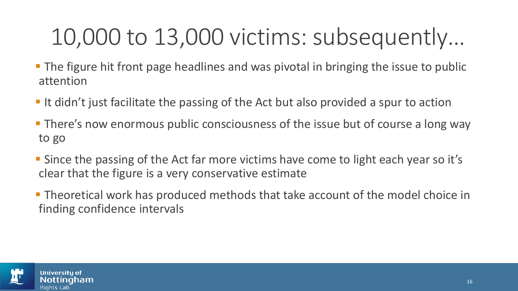## 10,000 to 13,000 victims: subsequently…

- **The figure hit front page headlines and was pivotal in bringing the issue to public** attention
- It didn't just facilitate the passing of the Act but also provided a spur to action
- **There's now enormous public consciousness of the issue but of course a long way** to go
- Since the passing of the Act far more victims have come to light each year so it's clear that the figure is a very conservative estimate
- **Theoretical work has produced methods that take account of the model choice in** finding confidence intervals

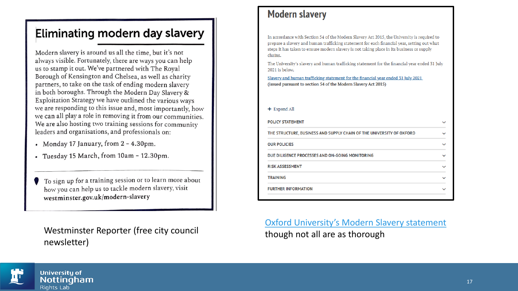#### Eliminating modern day slavery

Modern slavery is around us all the time, but it's not always visible. Fortunately, there are ways you can help us to stamp it out. We've partnered with The Royal Borough of Kensington and Chelsea, as well as charity partners, to take on the task of ending modern slavery in both boroughs. Through the Modern Day Slavery & Exploitation Strategy we have outlined the various ways we are responding to this issue and, most importantly, how we can all play a role in removing it from our communities. We are also hosting two training sessions for community leaders and organisations, and professionals on:

- Monday 17 January, from 2 4.30pm.
- Tuesday 15 March, from 10am 12.30pm.

To sign up for a training session or to learn more about how you can help us to tackle modern slavery, visit westminster.gov.uk/modern-slavery

Westminster Reporter (free city council newsletter)

#### **Modern slavery**

In accordance with Section 54 of the Modern Slavery Act 2015, the University is required to prepare a slavery and human trafficking statement for each financial year, setting out what steps it has taken to ensure modern slavery is not taking place in its business or supply chains.

The University's slavery and human trafficking statement for the financial year ended 31 July 2021 is below.

Slavery and human trafficking statement for the financial year ended 31 July 2021 (issued pursuant to section 54 of the Modern Slavery Act 2015)

#### + Expand All

| <b>POLICY STATEMENT</b>                                              |  |  |  |  |  |
|----------------------------------------------------------------------|--|--|--|--|--|
| THE STRUCTURE, BUSINESS AND SUPPLY CHAIN OF THE UNIVERSITY OF OXFORD |  |  |  |  |  |
| <b>OUR POLICIES</b>                                                  |  |  |  |  |  |
| DUE DILIGENCE PROCESSES AND ON-GOING MONITORING                      |  |  |  |  |  |
| <b>RISK ASSESSMENT</b>                                               |  |  |  |  |  |
| <b>TRAINING</b>                                                      |  |  |  |  |  |
| <b>FURTHER INFORMATION</b>                                           |  |  |  |  |  |

[Oxford University's Modern Slavery statement](https://compliance.admin.ox.ac.uk/modern-slavery) though not all are as thorough

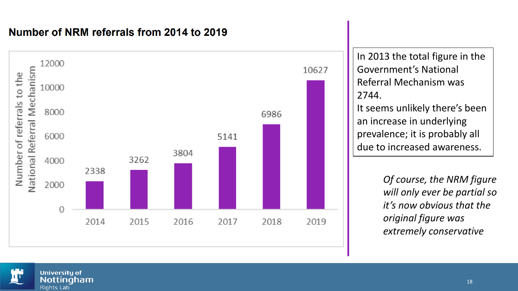#### Number of NRM referrals from 2014 to 2019



In 2013 the total figure in the Government's National Referral Mechanism was 2744. It seems unlikely there's been an increase in underlying prevalence; it is probably all due to increased awareness.

> *Of course, the NRM figure will only ever be partial so it's now obvious that the original figure was extremely conservative*

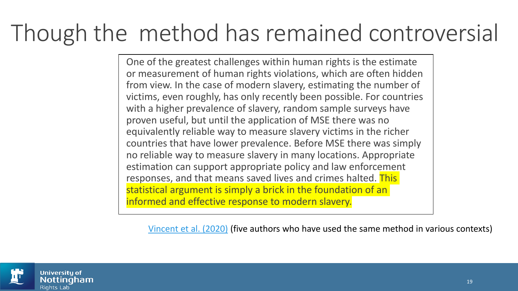#### Though the method has remained controversial

One of the greatest challenges within human rights is the estimate or measurement of human rights violations, which are often hidden from view. In the case of modern slavery, estimating the number of victims, even roughly, has only recently been possible. For countries with a higher prevalence of slavery, random sample surveys have proven useful, but until the application of MSE there was no equivalently reliable way to measure slavery victims in the richer countries that have lower prevalence. Before MSE there was simply no reliable way to measure slavery in many locations. Appropriate estimation can support appropriate policy and law enforcement responses, and that means saved lives and crimes halted. This statistical argument is simply a brick in the foundation of an informed and effective response to modern slavery.

[Vincent et al. \(2020\)](https://www.tandfonline.com/doi/full/10.1080/23322705.2020.1833571) (five authors who have used the same method in various contexts)

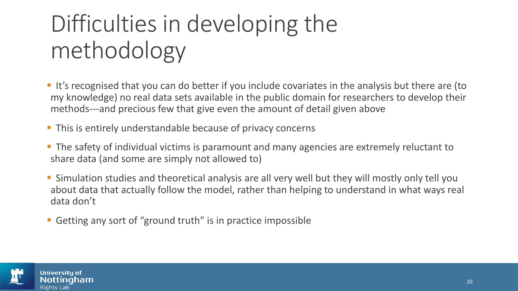# Difficulties in developing the methodology

- It's recognised that you can do better if you include covariates in the analysis but there are (to my knowledge) no real data sets available in the public domain for researchers to develop their methods---and precious few that give even the amount of detail given above
- **This is entirely understandable because of privacy concerns**
- **The safety of individual victims is paramount and many agencies are extremely reluctant to** share data (and some are simply not allowed to)
- Simulation studies and theoretical analysis are all very well but they will mostly only tell you about data that actually follow the model, rather than helping to understand in what ways real data don't
- Getting any sort of "ground truth" is in practice impossible

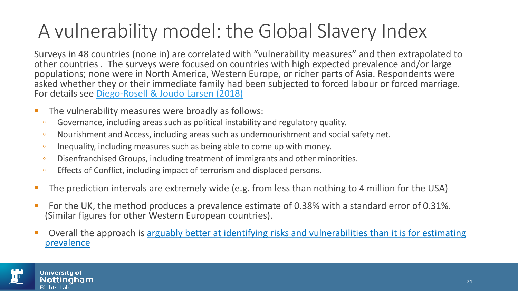#### A vulnerability model: the Global Slavery Index

Surveys in 48 countries (none in) are correlated with "vulnerability measures" and then extrapolated to other countries . The surveys were focused on countries with high expected prevalence and/or large populations; none were in North America, Western Europe, or richer parts of Asia. Respondents were asked whether they or their immediate family had been subjected to forced labour or forced marriage. For details see [Diego-Rosell & Joudo Larsen \(2018\)](http://dx.doi.org/10.2139/ssrn.3215368)

- The vulnerability measures were broadly as follows:
	- Governance, including areas such as political instability and regulatory quality.
	- Nourishment and Access, including areas such as undernourishment and social safety net.
- Inequality, including measures such as being able to come up with money.
- Disenfranchised Groups, including treatment of immigrants and other minorities.
- Effects of Conflict, including impact of terrorism and displaced persons.
- The prediction intervals are extremely wide (e.g. from less than nothing to 4 million for the USA)
- For the UK, the method produces a prevalence estimate of 0.38% with a standard error of 0.31%. (Similar figures for other Western European countries).
- Overall the approach is arguably better at identifying risks and vulnerabilities than it is for estimating prevalence

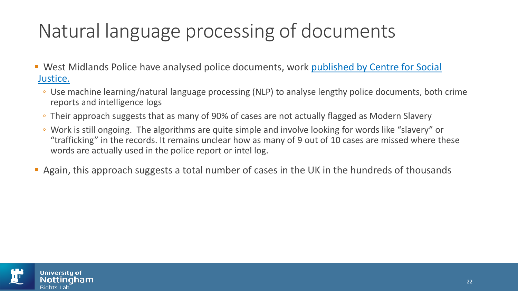#### Natural language processing of documents

- West Midlands Police have analysed police documents, work published by Centre for Social Justice.
	- Use machine learning/natural language processing (NLP) to analyse lengthy police documents, both crime reports and intelligence logs
	- Their approach suggests that as many of 90% of cases are not actually flagged as Modern Slavery
	- Work is still ongoing. The algorithms are quite simple and involve looking for words like "slavery" or "trafficking" in the records. It remains unclear how as many of 9 out of 10 cases are missed where these words are actually used in the police report or intel log.
- **Again, this approach suggests a total number of cases in the UK in the hundreds of thousands**

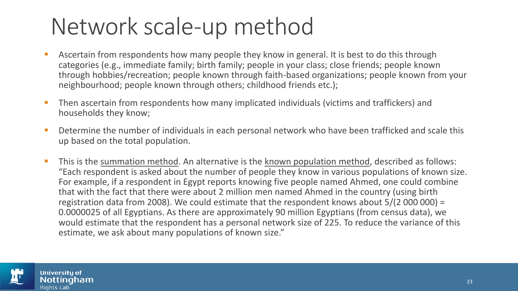#### Network scale-up method

- **EXTED ASCETTED FROM FROM FROM FIGHTS HOW MANY PEOPLE THEY KNOW IN SERIET ASSETS THE SET ASSETS THE ASSETT ASSETS** categories (e.g., immediate family; birth family; people in your class; close friends; people known through hobbies/recreation; people known through faith-based organizations; people known from your neighbourhood; people known through others; childhood friends etc.);
- **EXTER 19 Then ascertain from respondents how many implicated individuals (victims and traffickers) and** households they know;
- Determine the number of individuals in each personal network who have been trafficked and scale this up based on the total population.
- This is the summation method. An alternative is the known population method, described as follows: "Each respondent is asked about the number of people they know in various populations of known size. For example, if a respondent in Egypt reports knowing five people named Ahmed, one could combine that with the fact that there were about 2 million men named Ahmed in the country (using birth registration data from 2008). We could estimate that the respondent knows about 5/(2000000) = 0.0000025 of all Egyptians. As there are approximately 90 million Egyptians (from census data), we would estimate that the respondent has a personal network size of 225. To reduce the variance of this estimate, we ask about many populations of known size."